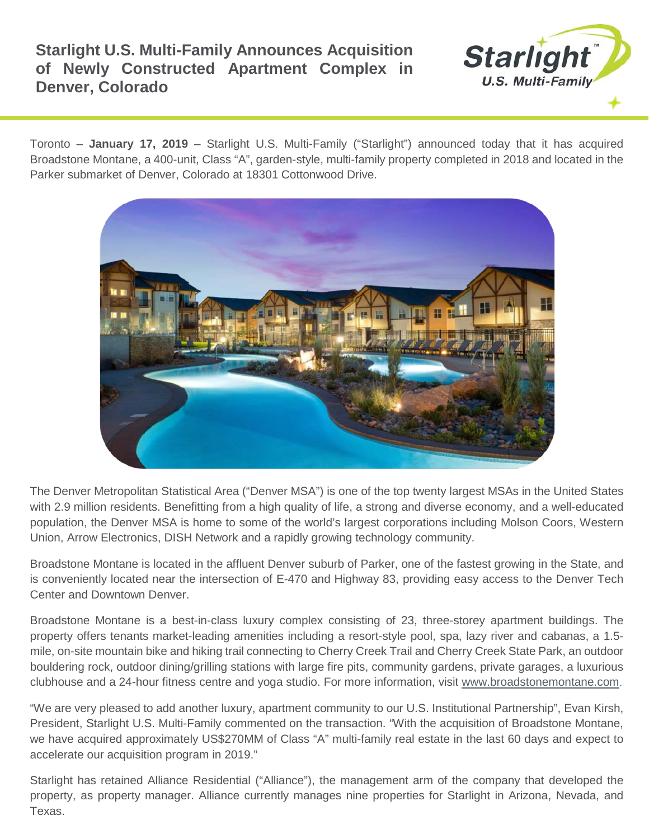## **Starlight U.S. Multi-Family Announces Acquisition of Newly Constructed Apartment Complex in Denver, Colorado**



Toronto – **January 17, 2019** – Starlight U.S. Multi-Family ("Starlight") announced today that it has acquired Broadstone Montane, a 400-unit, Class "A", garden-style, multi-family property completed in 2018 and located in the Parker submarket of Denver, Colorado at 18301 Cottonwood Drive.



The Denver Metropolitan Statistical Area ("Denver MSA") is one of the top twenty largest MSAs in the United States with 2.9 million residents. Benefitting from a high quality of life, a strong and diverse economy, and a well-educated population, the Denver MSA is home to some of the world's largest corporations including Molson Coors, Western Union, Arrow Electronics, DISH Network and a rapidly growing technology community.

Broadstone Montane is located in the affluent Denver suburb of Parker, one of the fastest growing in the State, and is conveniently located near the intersection of E-470 and Highway 83, providing easy access to the Denver Tech Center and Downtown Denver.

Broadstone Montane is a best-in-class luxury complex consisting of 23, three-storey apartment buildings. The property offers tenants market-leading amenities including a resort-style pool, spa, lazy river and cabanas, a 1.5 mile, on-site mountain bike and hiking trail connecting to Cherry Creek Trail and Cherry Creek State Park, an outdoor bouldering rock, outdoor dining/grilling stations with large fire pits, community gardens, private garages, a luxurious clubhouse and a 24-hour fitness centre and yoga studio. For more information, visit [www.broadstonemontane.com.](http://www.broadstonemontane.com/)

"We are very pleased to add another luxury, apartment community to our U.S. Institutional Partnership", Evan Kirsh, President, Starlight U.S. Multi-Family commented on the transaction. "With the acquisition of Broadstone Montane, we have acquired approximately US\$270MM of Class "A" multi-family real estate in the last 60 days and expect to accelerate our acquisition program in 2019."

Starlight has retained Alliance Residential ("Alliance"), the management arm of the company that developed the property, as property manager. Alliance currently manages nine properties for Starlight in Arizona, Nevada, and Texas.